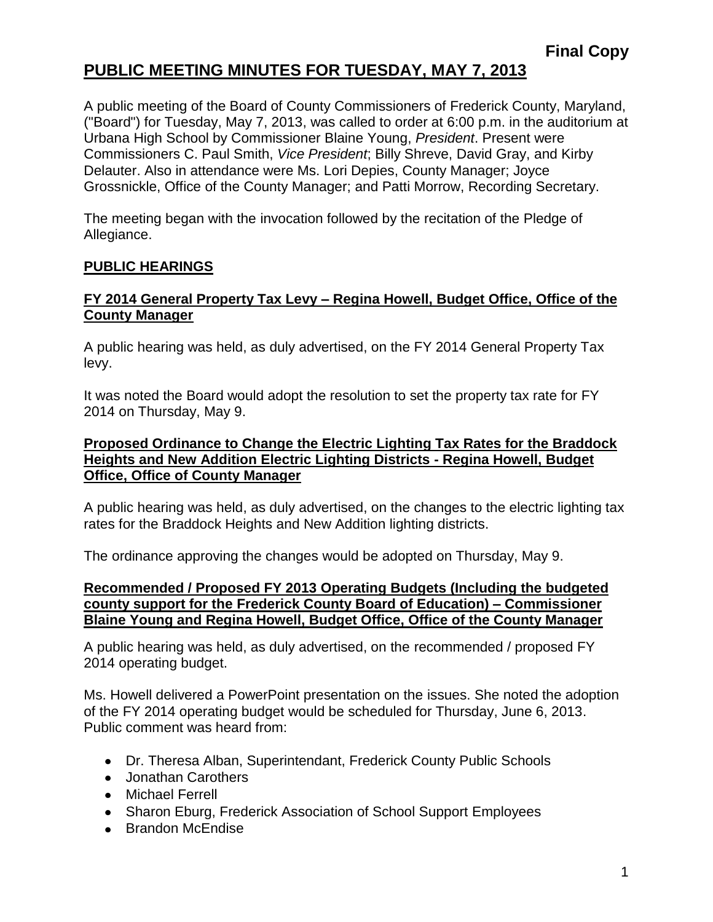## **PUBLIC MEETING MINUTES FOR TUESDAY, MAY 7, 2013**

A public meeting of the Board of County Commissioners of Frederick County, Maryland, ("Board") for Tuesday, May 7, 2013, was called to order at 6:00 p.m. in the auditorium at Urbana High School by Commissioner Blaine Young, *President*. Present were Commissioners C. Paul Smith, *Vice President*; Billy Shreve, David Gray, and Kirby Delauter. Also in attendance were Ms. Lori Depies, County Manager; Joyce Grossnickle, Office of the County Manager; and Patti Morrow, Recording Secretary.

The meeting began with the invocation followed by the recitation of the Pledge of Allegiance.

### **PUBLIC HEARINGS**

#### **FY 2014 General Property Tax Levy – Regina Howell, Budget Office, Office of the County Manager**

A public hearing was held, as duly advertised, on the FY 2014 General Property Tax levy.

It was noted the Board would adopt the resolution to set the property tax rate for FY 2014 on Thursday, May 9.

#### **Proposed Ordinance to Change the Electric Lighting Tax Rates for the Braddock Heights and New Addition Electric Lighting Districts - Regina Howell, Budget Office, Office of County Manager**

A public hearing was held, as duly advertised, on the changes to the electric lighting tax rates for the Braddock Heights and New Addition lighting districts.

The ordinance approving the changes would be adopted on Thursday, May 9.

#### **Recommended / Proposed FY 2013 Operating Budgets (Including the budgeted county support for the Frederick County Board of Education) – Commissioner Blaine Young and Regina Howell, Budget Office, Office of the County Manager**

A public hearing was held, as duly advertised, on the recommended / proposed FY 2014 operating budget.

Ms. Howell delivered a PowerPoint presentation on the issues. She noted the adoption of the FY 2014 operating budget would be scheduled for Thursday, June 6, 2013. Public comment was heard from:

- Dr. Theresa Alban, Superintendant, Frederick County Public Schools
- Jonathan Carothers
- Michael Ferrell
- Sharon Eburg, Frederick Association of School Support Employees
- Brandon McEndise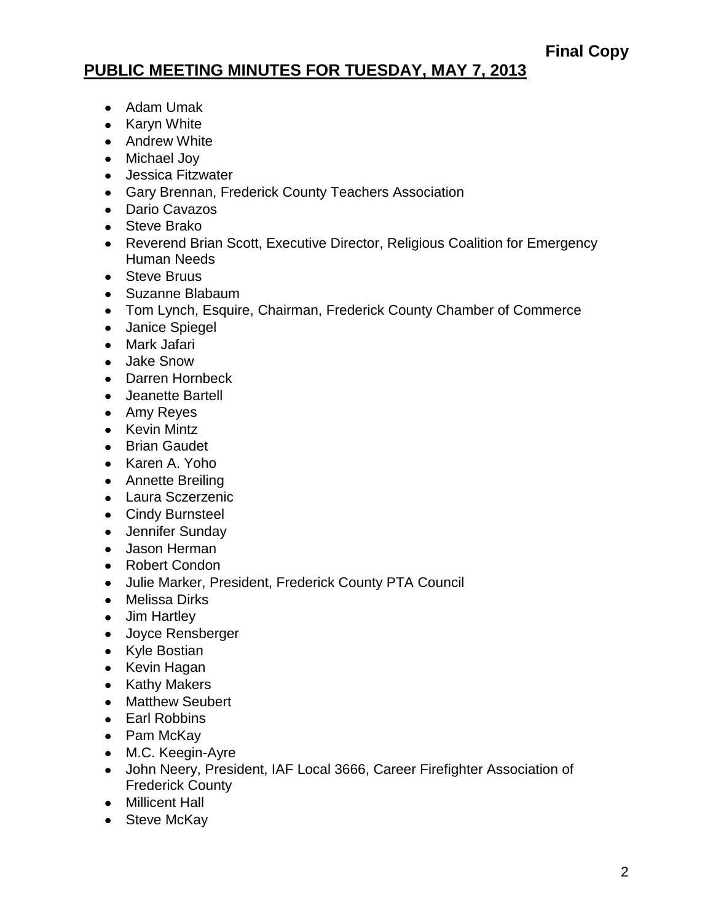# **PUBLIC MEETING MINUTES FOR TUESDAY, MAY 7, 2013**

- Adam Umak
- Karyn White
- Andrew White
- Michael Joy
- Jessica Fitzwater
- Gary Brennan, Frederick County Teachers Association
- Dario Cavazos
- Steve Brako
- Reverend Brian Scott, Executive Director, Religious Coalition for Emergency Human Needs
- Steve Bruus
- Suzanne Blabaum
- Tom Lynch, Esquire, Chairman, Frederick County Chamber of Commerce
- Janice Spiegel
- Mark Jafari
- Jake Snow
- Darren Hornbeck
- Jeanette Bartell
- Amy Reyes
- Kevin Mintz
- **•** Brian Gaudet
- Karen A. Yoho
- Annette Breiling
- Laura Sczerzenic
- Cindy Burnsteel
- Jennifer Sunday
- Jason Herman
- Robert Condon
- Julie Marker, President, Frederick County PTA Council
- Melissa Dirks
- Jim Hartley
- Joyce Rensberger
- Kyle Bostian
- Kevin Hagan
- Kathy Makers
- Matthew Seubert
- Earl Robbins
- Pam McKay
- M.C. Keegin-Ayre
- John Neery, President, IAF Local 3666, Career Firefighter Association of Frederick County
- Millicent Hall
- Steve McKay